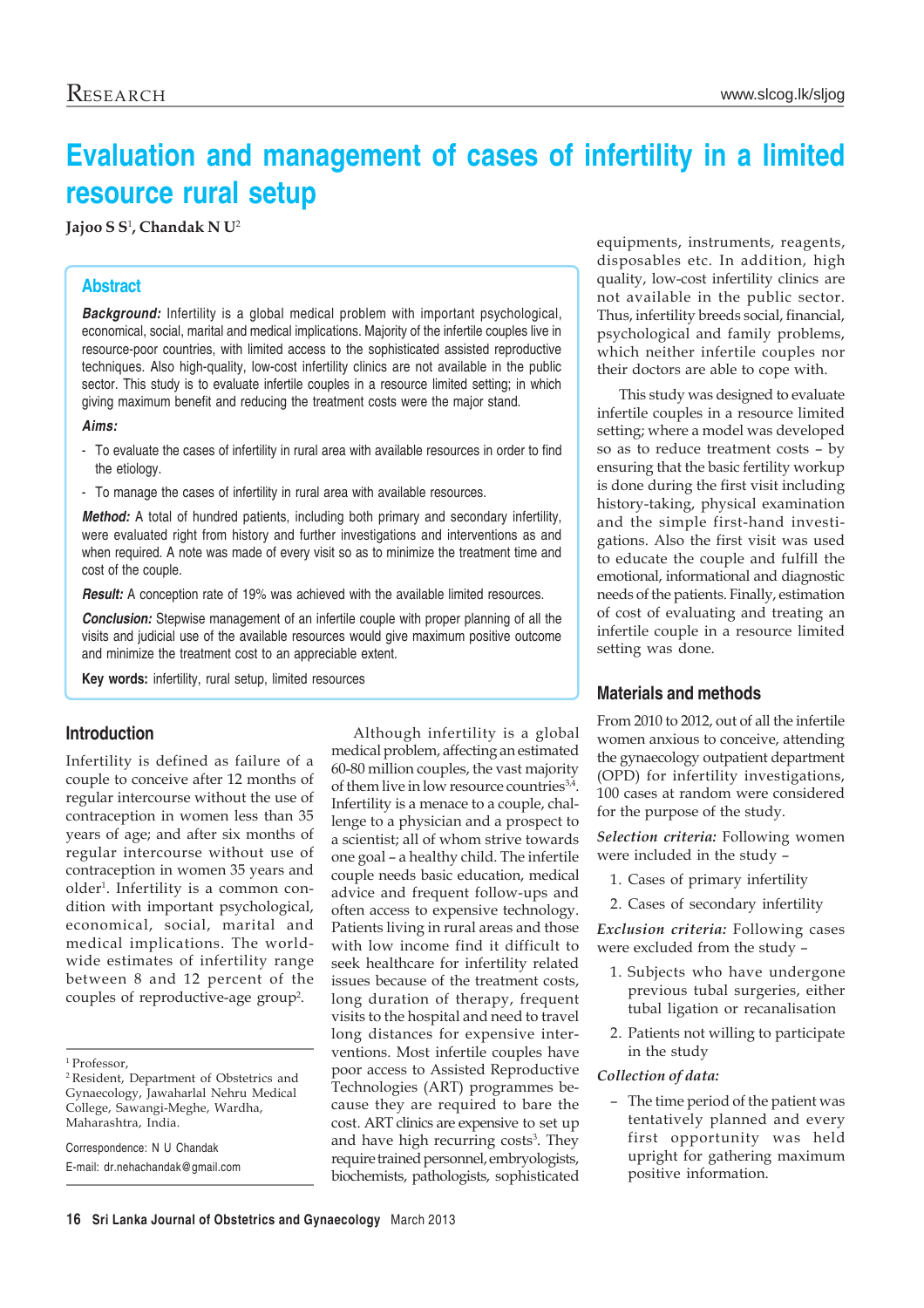# **Evaluation and management of cases of infertility in a limited resource rural setup**

### **Jajoo S S**<sup>1</sup> **, Chandak N U**<sup>2</sup>

# **Abstract**

*Background:* Infertility is a global medical problem with important psychological, economical, social, marital and medical implications. Majority of the infertile couples live in resource-poor countries, with limited access to the sophisticated assisted reproductive techniques. Also high-quality, low-cost infertility clinics are not available in the public sector. This study is to evaluate infertile couples in a resource limited setting; in which giving maximum benefit and reducing the treatment costs were the major stand.

#### *Aims:*

- To evaluate the cases of infertility in rural area with available resources in order to find the etiology.
- To manage the cases of infertility in rural area with available resources.

*Method:* A total of hundred patients, including both primary and secondary infertility, were evaluated right from history and further investigations and interventions as and when required. A note was made of every visit so as to minimize the treatment time and cost of the couple.

*Result:* A conception rate of 19% was achieved with the available limited resources.

*Conclusion:* Stepwise management of an infertile couple with proper planning of all the visits and judicial use of the available resources would give maximum positive outcome and minimize the treatment cost to an appreciable extent.

**Key words:** infertility, rural setup, limited resources

### **Introduction**

Infertility is defined as failure of a couple to conceive after 12 months of regular intercourse without the use of contraception in women less than 35 years of age; and after six months of regular intercourse without use of contraception in women 35 years and older1 . Infertility is a common condition with important psychological, economical, social, marital and medical implications. The worldwide estimates of infertility range between 8 and 12 percent of the couples of reproductive-age group<sup>2</sup>.

Correspondence: N U Chandak

E-mail: dr.nehachandak@gmail.com

Although infertility is a global medical problem, affecting an estimated 60-80 million couples, the vast majority of them live in low resource countries<sup>3,4</sup>. Infertility is a menace to a couple, challenge to a physician and a prospect to a scientist; all of whom strive towards one goal – a healthy child. The infertile couple needs basic education, medical advice and frequent follow-ups and often access to expensive technology. Patients living in rural areas and those with low income find it difficult to seek healthcare for infertility related issues because of the treatment costs, long duration of therapy, frequent visits to the hospital and need to travel long distances for expensive interventions. Most infertile couples have poor access to Assisted Reproductive Technologies (ART) programmes because they are required to bare the cost. ART clinics are expensive to set up and have high recurring costs<sup>3</sup>. They require trained personnel, embryologists, biochemists, pathologists, sophisticated equipments, instruments, reagents, disposables etc. In addition, high quality, low-cost infertility clinics are not available in the public sector. Thus, infertility breeds social, financial, psychological and family problems, which neither infertile couples nor their doctors are able to cope with.

This study was designed to evaluate infertile couples in a resource limited setting; where a model was developed so as to reduce treatment costs – by ensuring that the basic fertility workup is done during the first visit including history-taking, physical examination and the simple first-hand investigations. Also the first visit was used to educate the couple and fulfill the emotional, informational and diagnostic needs of the patients. Finally, estimation of cost of evaluating and treating an infertile couple in a resource limited setting was done.

# **Materials and methods**

From 2010 to 2012, out of all the infertile women anxious to conceive, attending the gynaecology outpatient department (OPD) for infertility investigations, 100 cases at random were considered for the purpose of the study.

*Selection criteria:* Following women were included in the study –

- 1. Cases of primary infertility
- 2. Cases of secondary infertility

*Exclusion criteria:* Following cases were excluded from the study –

- 1. Subjects who have undergone previous tubal surgeries, either tubal ligation or recanalisation
- 2. Patients not willing to participate in the study

#### *Collection of data:*

– The time period of the patient was tentatively planned and every first opportunity was held upright for gathering maximum positive information.

<sup>1</sup> Professor,

<sup>2</sup> Resident, Department of Obstetrics and Gynaecology, Jawaharlal Nehru Medical College, Sawangi-Meghe, Wardha, Maharashtra, India.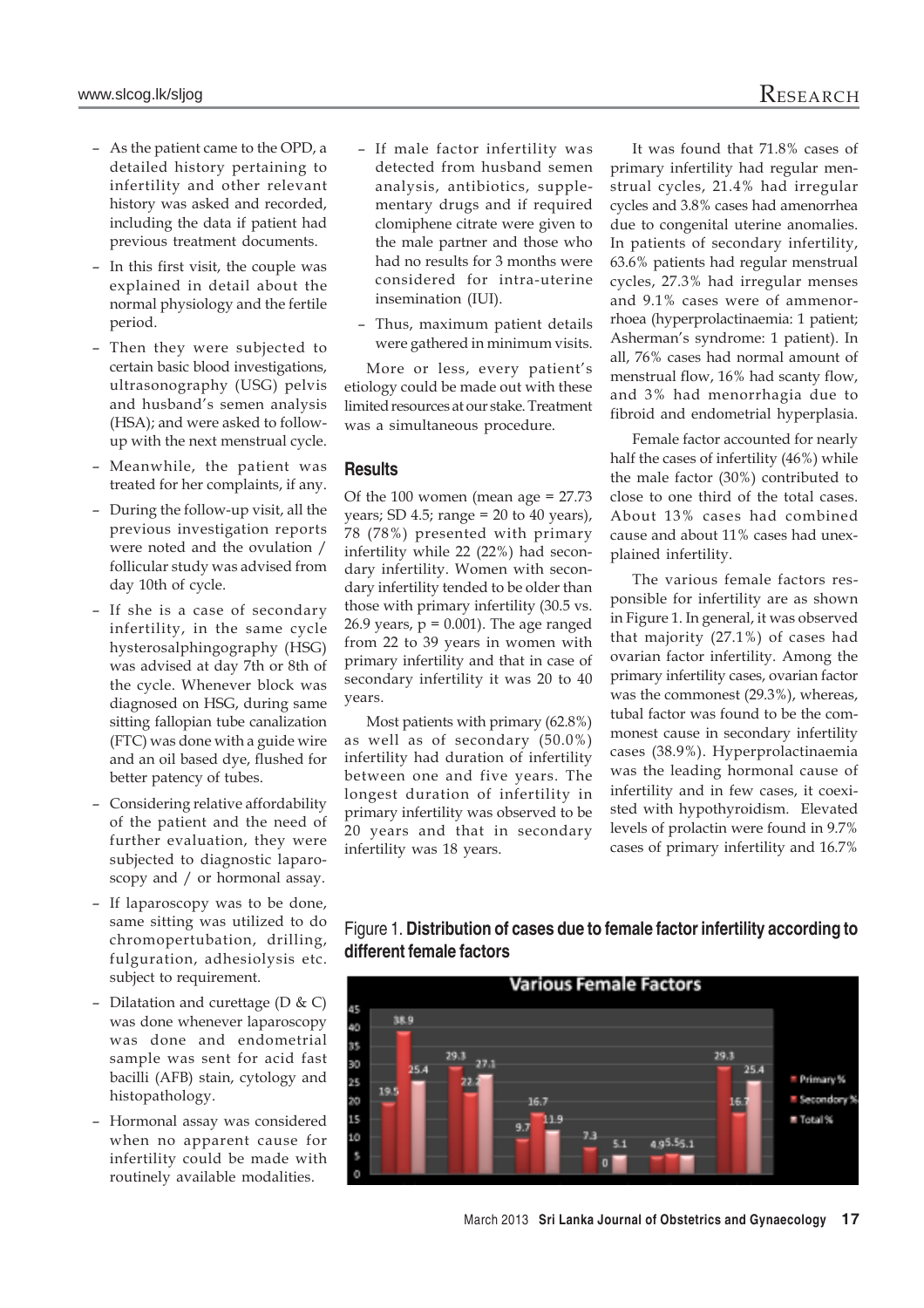- As the patient came to the OPD, a detailed history pertaining to infertility and other relevant history was asked and recorded, including the data if patient had previous treatment documents.
- In this first visit, the couple was explained in detail about the normal physiology and the fertile period.
- Then they were subjected to certain basic blood investigations, ultrasonography (USG) pelvis and husband's semen analysis (HSA); and were asked to followup with the next menstrual cycle.
- Meanwhile, the patient was treated for her complaints, if any.
- During the follow-up visit, all the previous investigation reports were noted and the ovulation / follicular study was advised from day 10th of cycle.
- If she is a case of secondary infertility, in the same cycle hysterosalphingography (HSG) was advised at day 7th or 8th of the cycle. Whenever block was diagnosed on HSG, during same sitting fallopian tube canalization (FTC) was done with a guide wire and an oil based dye, flushed for better patency of tubes.
- Considering relative affordability of the patient and the need of further evaluation, they were subjected to diagnostic laparoscopy and / or hormonal assay.
- If laparoscopy was to be done, same sitting was utilized to do chromopertubation, drilling, fulguration, adhesiolysis etc. subject to requirement.
- Dilatation and curettage  $(D & C)$ was done whenever laparoscopy was done and endometrial sample was sent for acid fast bacilli (AFB) stain, cytology and histopathology.
- Hormonal assay was considered when no apparent cause for infertility could be made with routinely available modalities.
- If male factor infertility was detected from husband semen analysis, antibiotics, supplementary drugs and if required clomiphene citrate were given to the male partner and those who had no results for 3 months were considered for intra-uterine insemination (IUI).
- Thus, maximum patient details were gathered in minimum visits.

More or less, every patient's etiology could be made out with these limited resources at our stake. Treatment was a simultaneous procedure.

# **Results**

Of the 100 women (mean age  $= 27.73$ ) years; SD 4.5; range =  $20$  to  $40$  years), 78 (78%) presented with primary infertility while 22 (22%) had secondary infertility. Women with secondary infertility tended to be older than those with primary infertility (30.5 vs. 26.9 years,  $p = 0.001$ ). The age ranged from 22 to 39 years in women with primary infertility and that in case of secondary infertility it was 20 to 40 years.

Most patients with primary (62.8%) as well as of secondary (50.0%) infertility had duration of infertility between one and five years. The longest duration of infertility in primary infertility was observed to be 20 years and that in secondary infertility was 18 years.

It was found that 71.8% cases of primary infertility had regular menstrual cycles, 21.4% had irregular cycles and 3.8% cases had amenorrhea due to congenital uterine anomalies. In patients of secondary infertility, 63.6% patients had regular menstrual cycles, 27.3% had irregular menses and 9.1% cases were of ammenorrhoea (hyperprolactinaemia: 1 patient; Asherman's syndrome: 1 patient). In all, 76% cases had normal amount of menstrual flow, 16% had scanty flow, and 3% had menorrhagia due to fibroid and endometrial hyperplasia.

Female factor accounted for nearly half the cases of infertility (46%) while the male factor (30%) contributed to close to one third of the total cases. About 13% cases had combined cause and about 11% cases had unexplained infertility.

The various female factors responsible for infertility are as shown in Figure 1. In general, it was observed that majority (27.1%) of cases had ovarian factor infertility. Among the primary infertility cases, ovarian factor was the commonest (29.3%), whereas, tubal factor was found to be the commonest cause in secondary infertility cases (38.9%). Hyperprolactinaemia was the leading hormonal cause of infertility and in few cases, it coexisted with hypothyroidism. Elevated levels of prolactin were found in 9.7% cases of primary infertility and 16.7%



Figure 1. **Distribution of cases due to female factor infertility according to different female factors**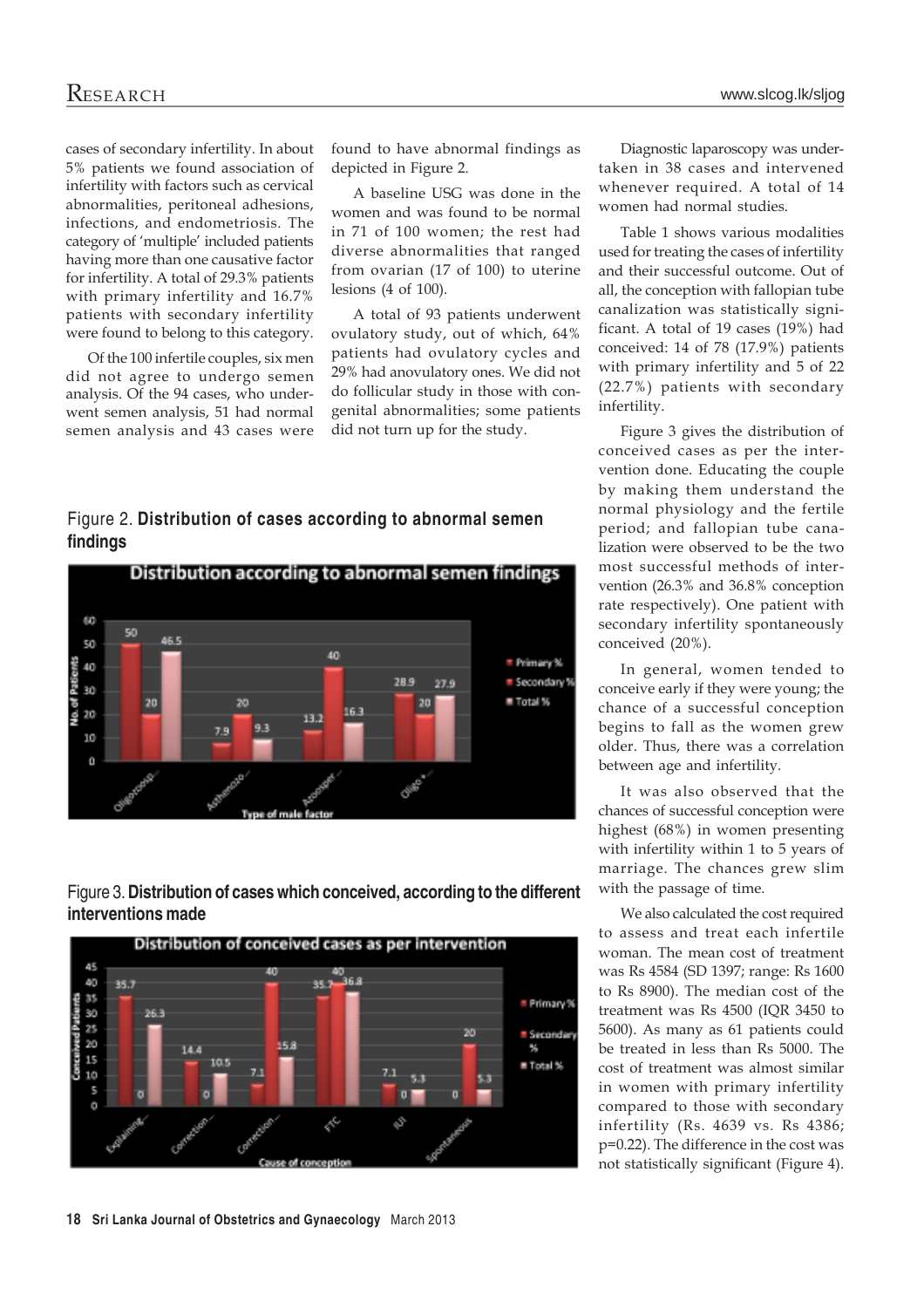cases of secondary infertility. In about 5% patients we found association of infertility with factors such as cervical abnormalities, peritoneal adhesions, infections, and endometriosis. The category of 'multiple' included patients having more than one causative factor for infertility. A total of 29.3% patients with primary infertility and 16.7% patients with secondary infertility were found to belong to this category.

Of the 100 infertile couples, six men did not agree to undergo semen analysis. Of the 94 cases, who underwent semen analysis, 51 had normal semen analysis and 43 cases were

found to have abnormal findings as depicted in Figure 2.

A baseline USG was done in the women and was found to be normal in 71 of 100 women; the rest had diverse abnormalities that ranged from ovarian (17 of 100) to uterine lesions (4 of 100).

A total of 93 patients underwent ovulatory study, out of which, 64% patients had ovulatory cycles and 29% had anovulatory ones. We did not do follicular study in those with congenital abnormalities; some patients did not turn up for the study.

# Figure 2. **Distribution of cases according to abnormal semen findings**







Diagnostic laparoscopy was undertaken in 38 cases and intervened whenever required. A total of 14 women had normal studies.

Table 1 shows various modalities used for treating the cases of infertility and their successful outcome. Out of all, the conception with fallopian tube canalization was statistically significant. A total of 19 cases (19%) had conceived: 14 of 78 (17.9%) patients with primary infertility and 5 of 22 (22.7%) patients with secondary infertility.

Figure 3 gives the distribution of conceived cases as per the intervention done. Educating the couple by making them understand the normal physiology and the fertile period; and fallopian tube canalization were observed to be the two most successful methods of intervention (26.3% and 36.8% conception rate respectively). One patient with secondary infertility spontaneously conceived (20%).

In general, women tended to conceive early if they were young; the chance of a successful conception begins to fall as the women grew older. Thus, there was a correlation between age and infertility.

It was also observed that the chances of successful conception were highest (68%) in women presenting with infertility within 1 to 5 years of marriage. The chances grew slim with the passage of time.

We also calculated the cost required to assess and treat each infertile woman. The mean cost of treatment was Rs 4584 (SD 1397; range: Rs 1600 to Rs 8900). The median cost of the treatment was Rs 4500 (IQR 3450 to 5600). As many as 61 patients could be treated in less than Rs 5000. The cost of treatment was almost similar in women with primary infertility compared to those with secondary infertility (Rs. 4639 vs. Rs 4386; p=0.22). The difference in the cost was not statistically significant (Figure 4).

**18 Sri Lanka Journal of Obstetrics and Gynaecology** March 2013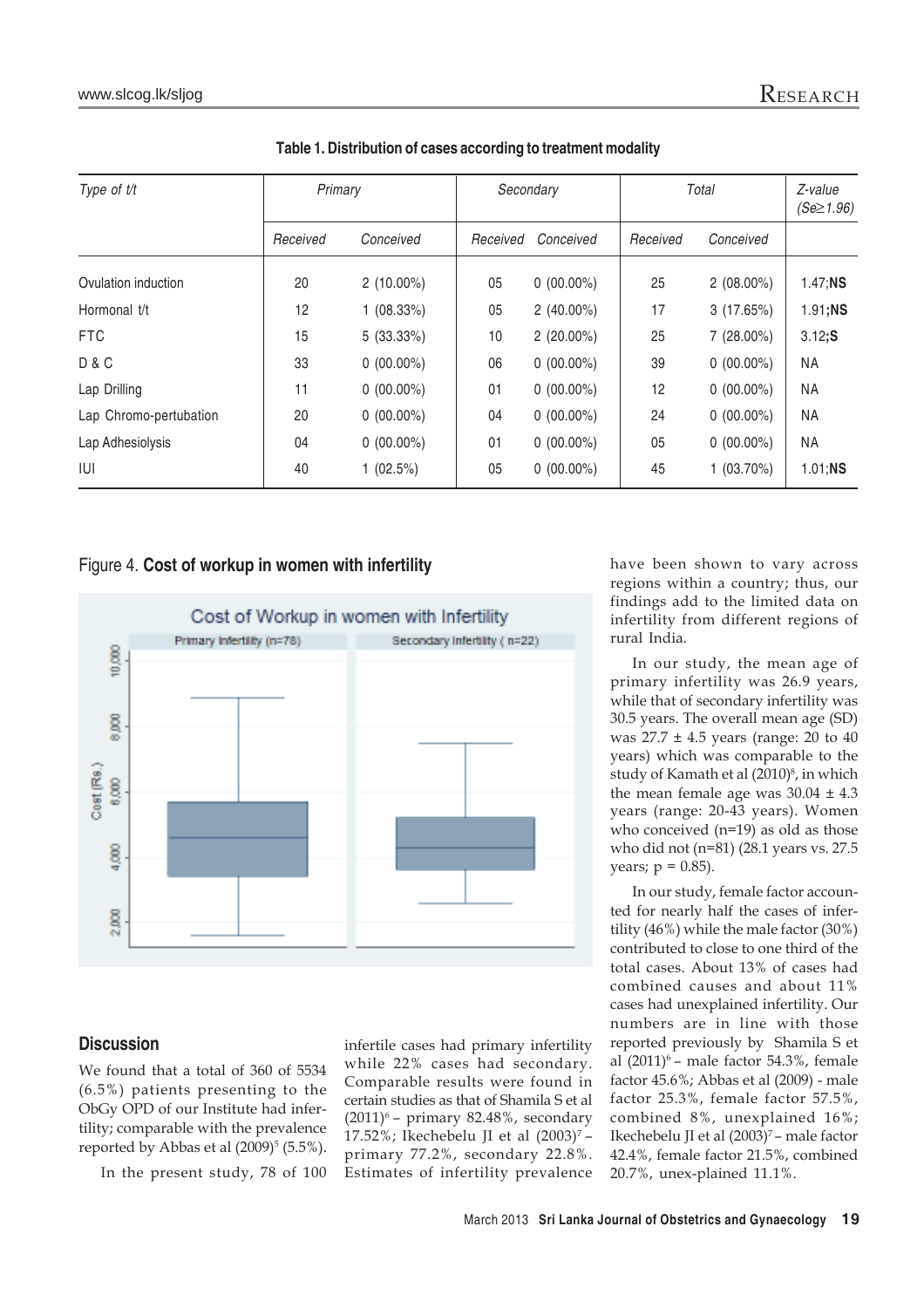| Type of t/t            | Primary  |              | Secondary |              | Total    |              | Z-value<br>$(Se \ge 1.96)$ |
|------------------------|----------|--------------|-----------|--------------|----------|--------------|----------------------------|
|                        | Received | Conceived    | Received  | Conceived    | Received | Conceived    |                            |
| Ovulation induction    | 20       | $2(10.00\%)$ | 05        | $0(00.00\%)$ | 25       | $2(08.00\%)$ | $1.47;$ NS                 |
| Hormonal t/t           | 12       | 1(08.33%)    | 05        | $2(40.00\%)$ | 17       | 3(17.65%)    | 1.91;NS                    |
| <b>FTC</b>             | 15       | 5(33.33%)    | 10        | $2(20.00\%)$ | 25       | 7 (28.00%)   | 3.12;S                     |
| <b>D&amp;C</b>         | 33       | $0(00.00\%)$ | 06        | $0(00.00\%)$ | 39       | $0(00.00\%)$ | NA                         |
| Lap Drilling           | 11       | $0(00.00\%)$ | 01        | $0(00.00\%)$ | 12       | $0(00.00\%)$ | NA                         |
| Lap Chromo-pertubation | 20       | $0(00.00\%)$ | 04        | $0(00.00\%)$ | 24       | $0(00.00\%)$ | <b>NA</b>                  |
| Lap Adhesiolysis       | 04       | $0(00.00\%)$ | 01        | $0(00.00\%)$ | 05       | $0(00.00\%)$ | NA                         |
| IUI                    | 40       | $1(02.5\%)$  | 05        | $0(00.00\%)$ | 45       | $1(03.70\%)$ | $1.01;$ NS                 |

| Table 1. Distribution of cases according to treatment modality |  |  |  |  |  |
|----------------------------------------------------------------|--|--|--|--|--|
|----------------------------------------------------------------|--|--|--|--|--|

## Figure 4. **Cost of workup in women with infertility**



# regions within a country; thus, our findings add to the limited data on infertility from different regions of rural India.

have been shown to vary across

In our study, the mean age of primary infertility was 26.9 years, while that of secondary infertility was 30.5 years. The overall mean age (SD) was  $27.7 \pm 4.5$  years (range: 20 to 40 years) which was comparable to the study of Kamath et al (2010)<sup>8</sup>, in which the mean female age was  $30.04 \pm 4.3$ years (range: 20-43 years). Women who conceived (n=19) as old as those who did not (n=81) (28.1 years vs. 27.5 years;  $p = 0.85$ ).

In our study, female factor accounted for nearly half the cases of infertility (46%) while the male factor (30%) contributed to close to one third of the total cases. About 13% of cases had combined causes and about 11% cases had unexplained infertility. Our numbers are in line with those reported previously by Shamila S et al  $(2011)^6$  – male factor 54.3%, female factor 45.6%; Abbas et al (2009) - male factor 25.3%, female factor 57.5%, combined 8%, unexplained 16%; Ikechebelu JI et al (2003)<sup>7</sup> – male factor 42.4%, female factor 21.5%, combined 20.7%, unex-plained 11.1%.

# **Discussion**

We found that a total of 360 of 5534 (6.5%) patients presenting to the ObGy OPD of our Institute had infertility; comparable with the prevalence reported by Abbas et al  $(2009)^5$   $(5.5\%)$ .

In the present study, 78 of 100

infertile cases had primary infertility while 22% cases had secondary. Comparable results were found in certain studies as that of Shamila S et al  $(2011)^6$  – primary 82.48%, secondary 17.52%; Ikechebelu JI et al  $(2003)^7$  – primary 77.2%, secondary 22.8%. Estimates of infertility prevalence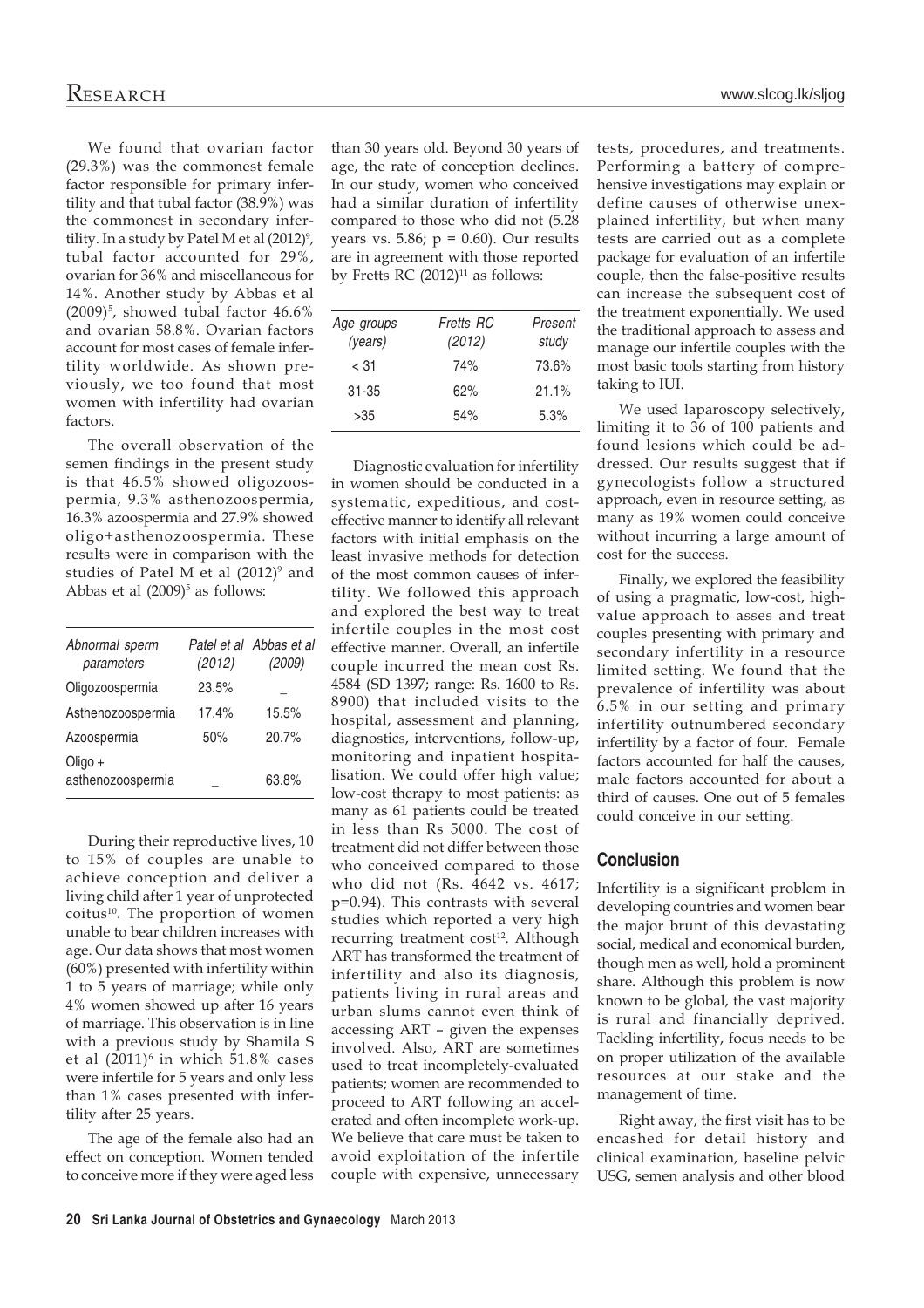We found that ovarian factor (29.3%) was the commonest female factor responsible for primary infertility and that tubal factor (38.9%) was the commonest in secondary infertility. In a study by Patel M et al  $(2012)^{9}$ , tubal factor accounted for 29%, ovarian for 36% and miscellaneous for 14%. Another study by Abbas et al  $(2009)^5$ , showed tubal factor 46.6% and ovarian 58.8%. Ovarian factors account for most cases of female infertility worldwide. As shown previously, we too found that most women with infertility had ovarian factors.

The overall observation of the semen findings in the present study is that 46.5% showed oligozoospermia, 9.3% asthenozoospermia, 16.3% azoospermia and 27.9% showed oligo+asthenozoospermia. These results were in comparison with the studies of Patel M et al (2012)<sup>9</sup> and Abbas et al  $(2009)^5$  as follows:

| Abnormal sperm               |        | Patel et al Abbas et al |
|------------------------------|--------|-------------------------|
| parameters                   | (2012) | (2009)                  |
| Oligozoospermia              | 23.5%  |                         |
| Asthenozoospermia            | 17.4%  | 15.5%                   |
| Azoospermia                  | 50%    | 20.7%                   |
| Oligo +<br>asthenozoospermia |        | 63.8%                   |

During their reproductive lives, 10 to 15% of couples are unable to achieve conception and deliver a living child after 1 year of unprotected coitus<sup>10</sup>. The proportion of women unable to bear children increases with age. Our data shows that most women (60%) presented with infertility within 1 to 5 years of marriage; while only 4% women showed up after 16 years of marriage. This observation is in line with a previous study by Shamila S et al (2011)<sup>6</sup> in which 51.8% cases were infertile for 5 years and only less than 1% cases presented with infertility after 25 years.

The age of the female also had an effect on conception. Women tended to conceive more if they were aged less

than 30 years old. Beyond 30 years of age, the rate of conception declines. In our study, women who conceived had a similar duration of infertility compared to those who did not (5.28 years vs. 5.86;  $p = 0.60$ ). Our results are in agreement with those reported by Fretts RC  $(2012)^{11}$  as follows:

| Age groups<br>(years) | Fretts RC<br>(2012) | Present<br>study |
|-----------------------|---------------------|------------------|
| < 31                  | 74%                 | 73.6%            |
| $31 - 35$             | 62%                 | 21.1%            |
| >35                   | 54%                 | 5.3%             |

Diagnostic evaluation for infertility in women should be conducted in a systematic, expeditious, and costeffective manner to identify all relevant factors with initial emphasis on the least invasive methods for detection of the most common causes of infertility. We followed this approach and explored the best way to treat infertile couples in the most cost effective manner. Overall, an infertile couple incurred the mean cost Rs. 4584 (SD 1397; range: Rs. 1600 to Rs. 8900) that included visits to the hospital, assessment and planning, diagnostics, interventions, follow-up, monitoring and inpatient hospitalisation. We could offer high value; low-cost therapy to most patients: as many as 61 patients could be treated in less than Rs 5000. The cost of treatment did not differ between those who conceived compared to those who did not (Rs. 4642 vs. 4617; p=0.94). This contrasts with several studies which reported a very high recurring treatment cost<sup>12</sup>. Although ART has transformed the treatment of infertility and also its diagnosis, patients living in rural areas and urban slums cannot even think of accessing ART – given the expenses involved. Also, ART are sometimes used to treat incompletely-evaluated patients; women are recommended to proceed to ART following an accelerated and often incomplete work-up. We believe that care must be taken to avoid exploitation of the infertile couple with expensive, unnecessary

tests, procedures, and treatments. Performing a battery of comprehensive investigations may explain or define causes of otherwise unexplained infertility, but when many tests are carried out as a complete package for evaluation of an infertile couple, then the false-positive results can increase the subsequent cost of the treatment exponentially. We used the traditional approach to assess and manage our infertile couples with the most basic tools starting from history taking to IUI.

We used laparoscopy selectively, limiting it to 36 of 100 patients and found lesions which could be addressed. Our results suggest that if gynecologists follow a structured approach, even in resource setting, as many as 19% women could conceive without incurring a large amount of cost for the success.

Finally, we explored the feasibility of using a pragmatic, low-cost, highvalue approach to asses and treat couples presenting with primary and secondary infertility in a resource limited setting. We found that the prevalence of infertility was about 6.5% in our setting and primary infertility outnumbered secondary infertility by a factor of four. Female factors accounted for half the causes, male factors accounted for about a third of causes. One out of 5 females could conceive in our setting.

# **Conclusion**

Infertility is a significant problem in developing countries and women bear the major brunt of this devastating social, medical and economical burden, though men as well, hold a prominent share. Although this problem is now known to be global, the vast majority is rural and financially deprived. Tackling infertility, focus needs to be on proper utilization of the available resources at our stake and the management of time.

Right away, the first visit has to be encashed for detail history and clinical examination, baseline pelvic USG, semen analysis and other blood